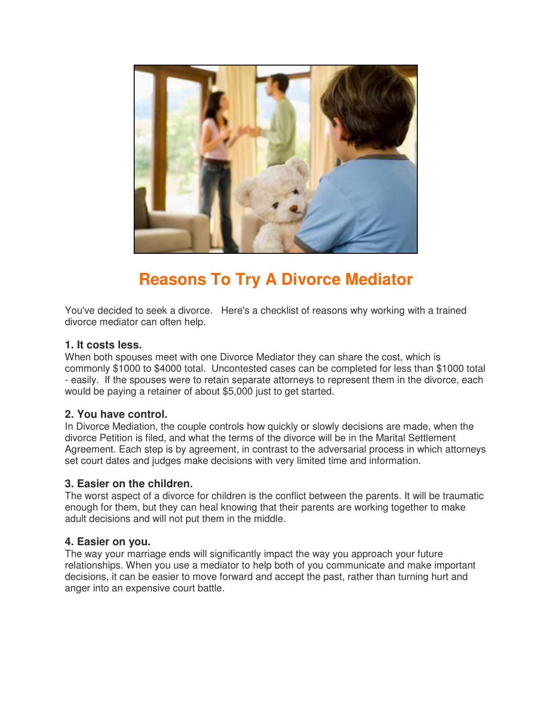

# **Reasons To Try A Divorce Mediator**

You've decided to seek a divorce. Here's a checklist of reasons why working with a trained divorce mediator can often help.

# **1. It costs less.**

When both spouses meet with one Divorce Mediator they can share the cost, which is commonly \$1000 to \$4000 total. Uncontested cases can be completed for less than \$1000 total - easily. If the spouses were to retain separate attorneys to represent them in the divorce, each would be paying a retainer of about \$5,000 just to get started.

#### **2. You have control.**

In Divorce Mediation, the couple controls how quickly or slowly decisions are made, when the divorce Petition is filed, and what the terms of the divorce will be in the Marital Settlement Agreement. Each step is by agreement, in contrast to the adversarial process in which attorneys set court dates and judges make decisions with very limited time and information.

#### **3. Easier on the children.**

The worst aspect of a divorce for children is the conflict between the parents. It will be traumatic enough for them, but they can heal knowing that their parents are working together to make adult decisions and will not put them in the middle.

#### **4. Easier on you.**

The way your marriage ends will significantly impact the way you approach your future relationships. When you use a mediator to help both of you communicate and make important decisions, it can be easier to move forward and accept the past, rather than turning hurt and anger into an expensive court battle.